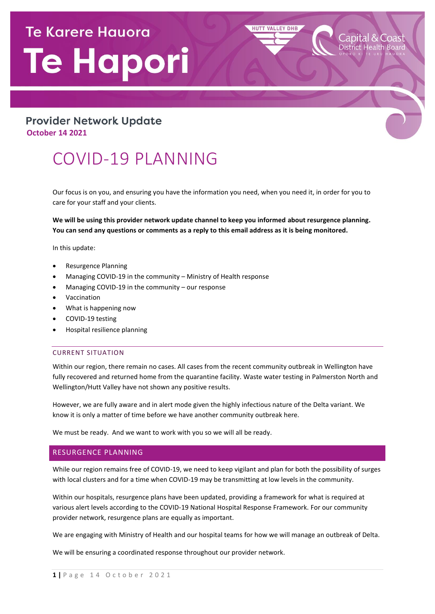# **Te Karere Hauora** Te Hapori

### **Provider Network Update October 14 2021**

## COVID-19 PLANNING

Our focus is on you, and ensuring you have the information you need, when you need it, in order for you to care for your staff and your clients.

**HUTT VALLEY DHB** 

**We will be using this provider network update channel to keep you informed about resurgence planning. You can send any questions or comments as a reply to this email address as it is being monitored.**

In this update:

- Resurgence Planning
- Managing COVID-19 in the community Ministry of Health response
- Managing COVID-19 in the community our response
- Vaccination
- What is happening now
- COVID-19 testing
- Hospital resilience planning

#### CURRENT SITUATION

Within our region, there remain no cases. All cases from the recent community outbreak in Wellington have fully recovered and returned home from the quarantine facility. Waste water testing in Palmerston North and Wellington/Hutt Valley have not shown any positive results.

However, we are fully aware and in alert mode given the highly infectious nature of the Delta variant. We know it is only a matter of time before we have another community outbreak here.

We must be ready. And we want to work with you so we will all be ready.

#### RESURGENCE PLANNING

While our region remains free of COVID-19, we need to keep vigilant and plan for both the possibility of surges with local clusters and for a time when COVID-19 may be transmitting at low levels in the community.

Within our hospitals, resurgence plans have been updated, providing a framework for what is required at various alert levels according to the COVID-19 National Hospital Response Framework. For our community provider network, resurgence plans are equally as important.

We are engaging with Ministry of Health and our hospital teams for how we will manage an outbreak of Delta.

We will be ensuring a coordinated response throughout our provider network.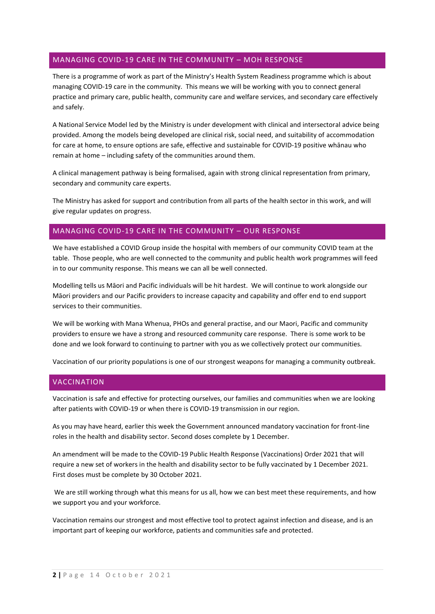#### MANAGING COVID-19 CARE IN THE COMMUNITY – MOH RESPONSE

There is a programme of work as part of the Ministry's Health System Readiness programme which is about managing COVID-19 care in the community. This means we will be working with you to connect general practice and primary care, public health, community care and welfare services, and secondary care effectively and safely.

A National Service Model led by the Ministry is under development with clinical and intersectoral advice being provided. Among the models being developed are clinical risk, social need, and suitability of accommodation for care at home, to ensure options are safe, effective and sustainable for COVID-19 positive whānau who remain at home – including safety of the communities around them.

A clinical management pathway is being formalised, again with strong clinical representation from primary, secondary and community care experts.

The Ministry has asked for support and contribution from all parts of the health sector in this work, and will give regular updates on progress.

#### MANAGING COVID-19 CARE IN THE COMMUNITY – OUR RESPONSE

We have established a COVID Group inside the hospital with members of our community COVID team at the table. Those people, who are well connected to the community and public health work programmes will feed in to our community response. This means we can all be well connected.

Modelling tells us Māori and Pacific individuals will be hit hardest. We will continue to work alongside our Māori providers and our Pacific providers to increase capacity and capability and offer end to end support services to their communities.

We will be working with Mana Whenua, PHOs and general practise, and our Maori, Pacific and community providers to ensure we have a strong and resourced community care response. There is some work to be done and we look forward to continuing to partner with you as we collectively protect our communities.

Vaccination of our priority populations is one of our strongest weapons for managing a community outbreak.

#### VACCINATION

Vaccination is safe and effective for protecting ourselves, our families and communities when we are looking after patients with COVID-19 or when there is COVID-19 transmission in our region.

As you may have heard, earlier this week the Government announced mandatory vaccination for front-line roles in the health and disability sector. Second doses complete by 1 December.

An amendment will be made to the COVID-19 Public Health Response (Vaccinations) Order 2021 that will require a new set of workers in the health and disability sector to be fully vaccinated by 1 December 2021. First doses must be complete by 30 October 2021.

We are still working through what this means for us all, how we can best meet these requirements, and how we support you and your workforce.

Vaccination remains our strongest and most effective tool to protect against infection and disease, and is an important part of keeping our workforce, patients and communities safe and protected.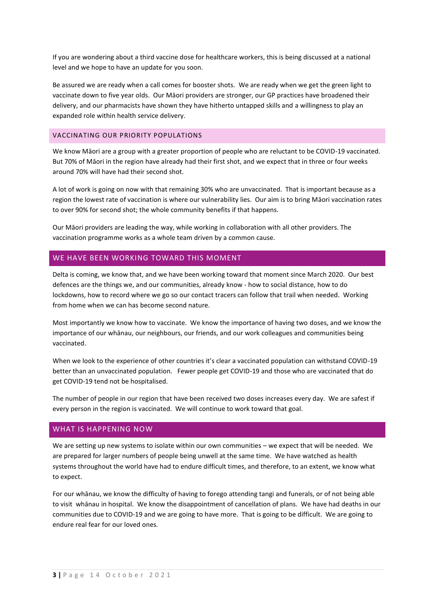If you are wondering about a third vaccine dose for healthcare workers, this is being discussed at a national level and we hope to have an update for you soon.

Be assured we are ready when a call comes for booster shots. We are ready when we get the green light to vaccinate down to five year olds. Our Māori providers are stronger, our GP practices have broadened their delivery, and our pharmacists have shown they have hitherto untapped skills and a willingness to play an expanded role within health service delivery.

#### VACCINATING OUR PRIORITY POPULATIONS

We know Māori are a group with a greater proportion of people who are reluctant to be COVID-19 vaccinated. But 70% of Māori in the region have already had their first shot, and we expect that in three or four weeks around 70% will have had their second shot.

A lot of work is going on now with that remaining 30% who are unvaccinated. That is important because as a region the lowest rate of vaccination is where our vulnerability lies. Our aim is to bring Māori vaccination rates to over 90% for second shot; the whole community benefits if that happens.

Our Māori providers are leading the way, while working in collaboration with all other providers. The vaccination programme works as a whole team driven by a common cause.

#### WE HAVE BEEN WORKING TOWARD THIS MOMENT

Delta is coming, we know that, and we have been working toward that moment since March 2020. Our best defences are the things we, and our communities, already know - how to social distance, how to do lockdowns, how to record where we go so our contact tracers can follow that trail when needed. Working from home when we can has become second nature.

Most importantly we know how to vaccinate. We know the importance of having two doses, and we know the importance of our whānau, our neighbours, our friends, and our work colleagues and communities being vaccinated.

When we look to the experience of other countries it's clear a vaccinated population can withstand COVID-19 better than an unvaccinated population. Fewer people get COVID-19 and those who are vaccinated that do get COVID-19 tend not be hospitalised.

The number of people in our region that have been received two doses increases every day. We are safest if every person in the region is vaccinated. We will continue to work toward that goal.

#### WHAT IS HAPPENING NOW

We are setting up new systems to isolate within our own communities – we expect that will be needed. We are prepared for larger numbers of people being unwell at the same time. We have watched as health systems throughout the world have had to endure difficult times, and therefore, to an extent, we know what to expect.

For our whānau, we know the difficulty of having to forego attending tangi and funerals, or of not being able to visit whānau in hospital. We know the disappointment of cancellation of plans. We have had deaths in our communities due to COVID-19 and we are going to have more. That is going to be difficult. We are going to endure real fear for our loved ones.